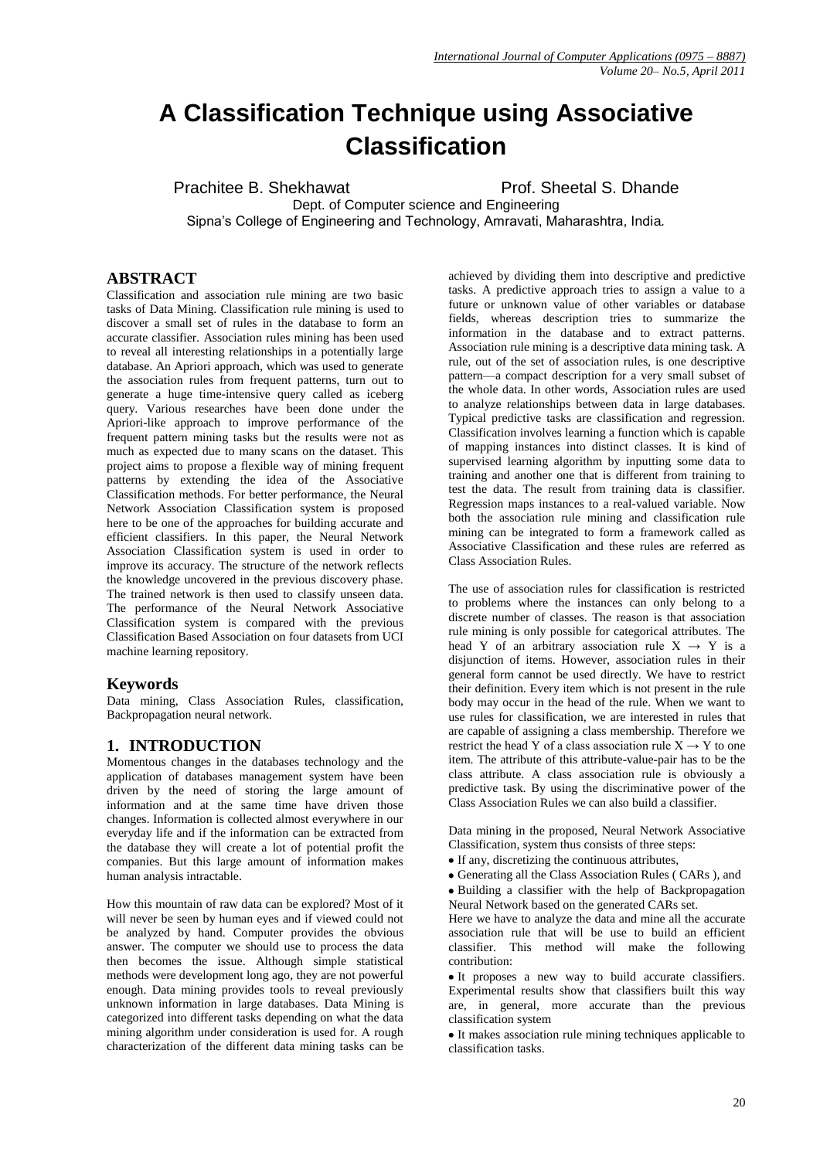# **A Classification Technique using Associative Classification**

Prachitee B. Shekhawat Prof. Sheetal S. Dhande

Dept. of Computer science and Engineering Sipna's College of Engineering and Technology, Amravati, Maharashtra, India*.*

# **ABSTRACT**

Classification and association rule mining are two basic tasks of Data Mining. Classification rule mining is used to discover a small set of rules in the database to form an accurate classifier. Association rules mining has been used to reveal all interesting relationships in a potentially large database. An Apriori approach, which was used to generate the association rules from frequent patterns, turn out to generate a huge time-intensive query called as iceberg query. Various researches have been done under the Apriori-like approach to improve performance of the frequent pattern mining tasks but the results were not as much as expected due to many scans on the dataset. This project aims to propose a flexible way of mining frequent patterns by extending the idea of the Associative Classification methods. For better performance, the Neural Network Association Classification system is proposed here to be one of the approaches for building accurate and efficient classifiers. In this paper, the Neural Network Association Classification system is used in order to improve its accuracy. The structure of the network reflects the knowledge uncovered in the previous discovery phase. The trained network is then used to classify unseen data. The performance of the Neural Network Associative Classification system is compared with the previous Classification Based Association on four datasets from UCI machine learning repository.

# **Keywords**

Data mining, Class Association Rules, classification, Backpropagation neural network.

# **1. INTRODUCTION**

Momentous changes in the databases technology and the application of databases management system have been driven by the need of storing the large amount of information and at the same time have driven those changes. Information is collected almost everywhere in our everyday life and if the information can be extracted from the database they will create a lot of potential profit the companies. But this large amount of information makes human analysis intractable.

How this mountain of raw data can be explored? Most of it will never be seen by human eyes and if viewed could not be analyzed by hand. Computer provides the obvious answer. The computer we should use to process the data then becomes the issue. Although simple statistical methods were development long ago, they are not powerful enough. Data mining provides tools to reveal previously unknown information in large databases. Data Mining is categorized into different tasks depending on what the data mining algorithm under consideration is used for. A rough characterization of the different data mining tasks can be achieved by dividing them into descriptive and predictive tasks. A predictive approach tries to assign a value to a future or unknown value of other variables or database fields, whereas description tries to summarize the information in the database and to extract patterns. Association rule mining is a descriptive data mining task. A rule, out of the set of association rules, is one descriptive pattern—a compact description for a very small subset of the whole data. In other words, Association rules are used to analyze relationships between data in large databases. Typical predictive tasks are classification and regression. Classification involves learning a function which is capable of mapping instances into distinct classes. It is kind of supervised learning algorithm by inputting some data to training and another one that is different from training to test the data. The result from training data is classifier. Regression maps instances to a real-valued variable. Now both the association rule mining and classification rule mining can be integrated to form a framework called as Associative Classification and these rules are referred as Class Association Rules.

The use of association rules for classification is restricted to problems where the instances can only belong to a discrete number of classes. The reason is that association rule mining is only possible for categorical attributes. The head Y of an arbitrary association rule  $X \rightarrow Y$  is a disjunction of items. However, association rules in their general form cannot be used directly. We have to restrict their definition. Every item which is not present in the rule body may occur in the head of the rule. When we want to use rules for classification, we are interested in rules that are capable of assigning a class membership. Therefore we restrict the head Y of a class association rule  $X \rightarrow Y$  to one item. The attribute of this attribute-value-pair has to be the class attribute. A class association rule is obviously a predictive task. By using the discriminative power of the Class Association Rules we can also build a classifier.

Data mining in the proposed, Neural Network Associative Classification, system thus consists of three steps:

- If any, discretizing the continuous attributes,
- Generating all the Class Association Rules ( CARs ), and
- Building a classifier with the help of Backpropagation Neural Network based on the generated CARs set.

Here we have to analyze the data and mine all the accurate association rule that will be use to build an efficient classifier. This method will make the following contribution:

It proposes a new way to build accurate classifiers. Experimental results show that classifiers built this way are, in general, more accurate than the previous classification system

It makes association rule mining techniques applicable to classification tasks.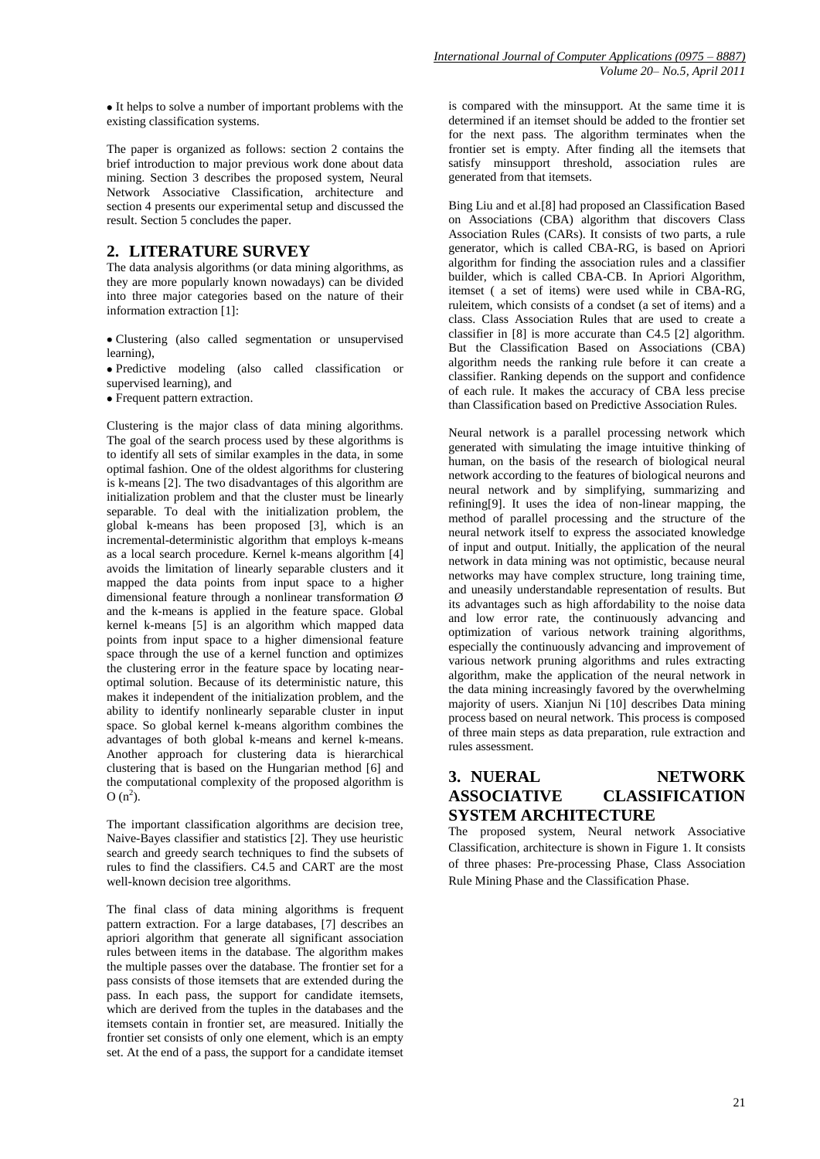It helps to solve a number of important problems with the existing classification systems.

The paper is organized as follows: section 2 contains the brief introduction to major previous work done about data mining. Section 3 describes the proposed system, Neural Network Associative Classification, architecture and section 4 presents our experimental setup and discussed the result. Section 5 concludes the paper.

# **2. LITERATURE SURVEY**

The data analysis algorithms (or data mining algorithms, as they are more popularly known nowadays) can be divided into three major categories based on the nature of their information extraction [1]:

Clustering (also called segmentation or unsupervised learning),

Predictive modeling (also called classification or supervised learning), and

Frequent pattern extraction.

Clustering is the major class of data mining algorithms. The goal of the search process used by these algorithms is to identify all sets of similar examples in the data, in some optimal fashion. One of the oldest algorithms for clustering is k-means [2]. The two disadvantages of this algorithm are initialization problem and that the cluster must be linearly separable. To deal with the initialization problem, the global k-means has been proposed [3], which is an incremental-deterministic algorithm that employs k-means as a local search procedure. Kernel k-means algorithm [4] avoids the limitation of linearly separable clusters and it mapped the data points from input space to a higher dimensional feature through a nonlinear transformation Ø and the k-means is applied in the feature space. Global kernel k-means [5] is an algorithm which mapped data points from input space to a higher dimensional feature space through the use of a kernel function and optimizes the clustering error in the feature space by locating nearoptimal solution. Because of its deterministic nature, this makes it independent of the initialization problem, and the ability to identify nonlinearly separable cluster in input space. So global kernel k-means algorithm combines the advantages of both global k-means and kernel k-means. Another approach for clustering data is hierarchical clustering that is based on the Hungarian method [6] and the computational complexity of the proposed algorithm is  $O (n^2)$ .

The important classification algorithms are decision tree, Naive-Bayes classifier and statistics [2]. They use heuristic search and greedy search techniques to find the subsets of rules to find the classifiers. C4.5 and CART are the most well-known decision tree algorithms.

The final class of data mining algorithms is frequent pattern extraction. For a large databases, [7] describes an apriori algorithm that generate all significant association rules between items in the database. The algorithm makes the multiple passes over the database. The frontier set for a pass consists of those itemsets that are extended during the pass. In each pass, the support for candidate itemsets, which are derived from the tuples in the databases and the itemsets contain in frontier set, are measured. Initially the frontier set consists of only one element, which is an empty set. At the end of a pass, the support for a candidate itemset is compared with the minsupport. At the same time it is determined if an itemset should be added to the frontier set for the next pass. The algorithm terminates when the frontier set is empty. After finding all the itemsets that satisfy minsupport threshold, association rules are generated from that itemsets.

Bing Liu and et al.[8] had proposed an Classification Based on Associations (CBA) algorithm that discovers Class Association Rules (CARs). It consists of two parts, a rule generator, which is called CBA-RG, is based on Apriori algorithm for finding the association rules and a classifier builder, which is called CBA-CB. In Apriori Algorithm, itemset ( a set of items) were used while in CBA-RG, ruleitem, which consists of a condset (a set of items) and a class. Class Association Rules that are used to create a classifier in [8] is more accurate than C4.5 [2] algorithm. But the Classification Based on Associations (CBA) algorithm needs the ranking rule before it can create a classifier. Ranking depends on the support and confidence of each rule. It makes the accuracy of CBA less precise than Classification based on Predictive Association Rules.

Neural network is a parallel processing network which generated with simulating the image intuitive thinking of human, on the basis of the research of biological neural network according to the features of biological neurons and neural network and by simplifying, summarizing and refining[9]. It uses the idea of non-linear mapping, the method of parallel processing and the structure of the neural network itself to express the associated knowledge of input and output. Initially, the application of the neural network in data mining was not optimistic, because neural networks may have complex structure, long training time, and uneasily understandable representation of results. But its advantages such as high affordability to the noise data and low error rate, the continuously advancing and optimization of various network training algorithms, especially the continuously advancing and improvement of various network pruning algorithms and rules extracting algorithm, make the application of the neural network in the data mining increasingly favored by the overwhelming majority of users. Xianjun Ni [10] describes Data mining process based on neural network. This process is composed of three main steps as data preparation, rule extraction and rules assessment.

# **3. NUERAL NETWORK ASSOCIATIVE CLASSIFICATION SYSTEM ARCHITECTURE**

The proposed system, Neural network Associative Classification, architecture is shown in Figure 1. It consists of three phases: Pre-processing Phase, Class Association Rule Mining Phase and the Classification Phase.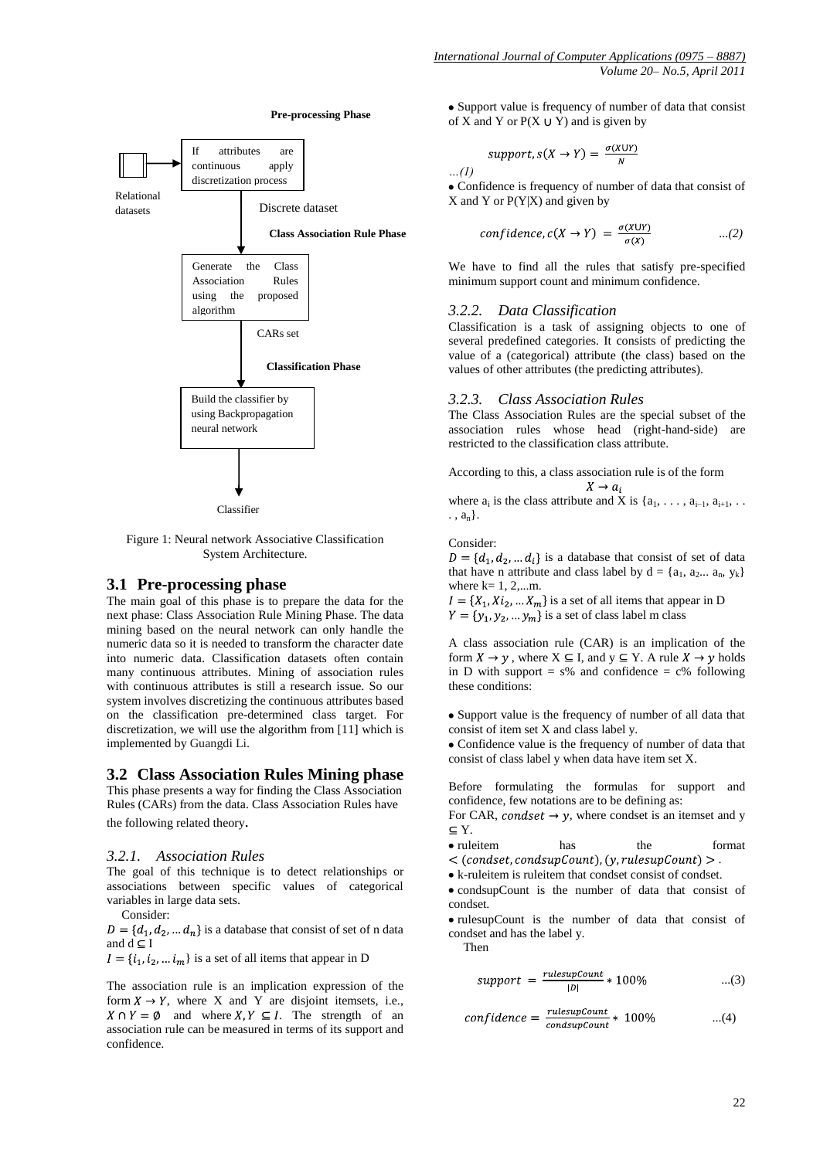

Figure 1: Neural network Associative Classification System Architecture.

#### **3.1 Pre-processing phase**

The main goal of this phase is to prepare the data for the next phase: Class Association Rule Mining Phase. The data mining based on the neural network can only handle the numeric data so it is needed to transform the character date into numeric data. Classification datasets often contain many continuous attributes. Mining of association rules with continuous attributes is still a research issue. So our system involves discretizing the continuous attributes based on the classification pre-determined class target. For discretization, we will use the algorithm from [11] which is implemented by Guangdi Li.

#### **3.2 Class Association Rules Mining phase**

This phase presents a way for finding the Class Association Rules (CARs) from the data. Class Association Rules have the following related theory.

#### *3.2.1. Association Rules*

The goal of this technique is to detect relationships or associations between specific values of categorical variables in large data sets.

Consider:

 $D = \{d_1, d_2, \dots d_n\}$  is a database that consist of set of n data and  $\overline{d} \subset \overline{I}$ 

 $I = \{i_1, i_2, \dots i_m\}$  is a set of all items that appear in D

The association rule is an implication expression of the form  $X \to Y$ , where X and Y are disjoint itemsets, i.e.,  $X \cap Y = \emptyset$  and where  $X, Y \subseteq I$ . The strength of an association rule can be measured in terms of its support and confidence.

Support value is frequency of number of data that consist of X and Y or  $P(X \cup Y)$  and is given by

$$
support, s(X \to Y) = \frac{\sigma(X \cup Y)}{N}
$$

*…(1)*  Confidence is frequency of number of data that consist of  $X$  and  $Y$  or  $P(Y|X)$  and given by

$$
confidence, c(X \to Y) = \frac{\sigma(X \cup Y)}{\sigma(X)} \qquad \qquad ...(2)
$$

We have to find all the rules that satisfy pre-specified minimum support count and minimum confidence.

#### *3.2.2. Data Classification*

Classification is a task of assigning objects to one of several predefined categories. It consists of predicting the value of a (categorical) attribute (the class) based on the values of other attributes (the predicting attributes).

#### *3.2.3. Class Association Rules*

The Class Association Rules are the special subset of the association rules whose head (right-hand-side) are restricted to the classification class attribute.

According to this, a class association rule is of the form  $X \rightarrow a_i$ 

where  $a_i$  is the class attribute and X is  $\{a_1, \ldots, a_{i-1}, a_{i+1}, \ldots\}$  $\ldots$ ,  $a_n$ .

Consider:

 $D = \{d_1, d_2, \dots d_i\}$  is a database that consist of set of data that have n attribute and class label by  $d = \{a_1, a_2... a_n, y_k\}$ where  $k=1, 2,...m$ .

 $I = \{X_1, X_2, ..., X_m\}$  is a set of all items that appear in D

 $Y = \{y_1, y_2, ..., y_m\}$  is a set of class label m class

A class association rule (CAR) is an implication of the form  $X \to \gamma$ , where  $X \subseteq I$ , and  $y \subseteq Y$ . A rule  $X \to \gamma$  holds in D with support =  $s\%$  and confidence =  $c\%$  following these conditions:

Support value is the frequency of number of all data that consist of item set X and class label y.

Confidence value is the frequency of number of data that consist of class label y when data have item set X.

Before formulating the formulas for support and confidence, few notations are to be defining as:

For CAR, condset  $\rightarrow y$ , where condset is an itemset and y  $\subseteq$  Y.

• ruleitem has the format

 $\langle$  (condset, condsupCount), (y, rulesupCount)  $>$ .

k-ruleitem is ruleitem that condset consist of condset.

• condsupCount is the number of data that consist of condset.

• rulesupCount is the number of data that consist of condset and has the label y.

Then

$$
support = \frac{rulesupCount}{|D|} * 100\% \qquad ...(3)
$$

$$
confidence = \frac{rulesupCount}{consupCount} * 100\% \qquad ...(4)
$$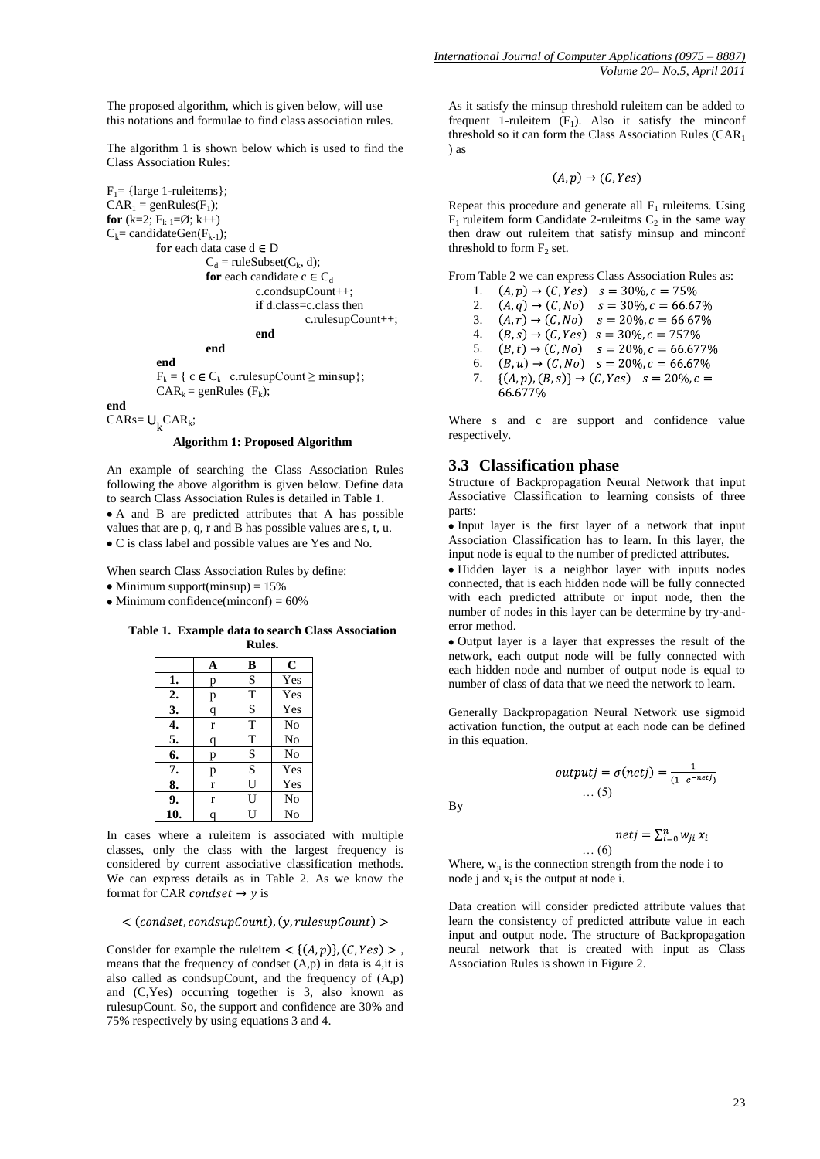The proposed algorithm, which is given below, will use this notations and formulae to find class association rules.

The algorithm 1 is shown below which is used to find the Class Association Rules:

```
F_1= {large 1-ruleitems};
CAR_1 = genRules(F_1);for (k=2; F_{k-1} = \emptyset; k++)
C_k= candidateGen(F_{k-1});
          for each data case d \in DC_d = ruleSubset(C_k, d);
                     for each candidate c \in C_dc.condsupCount++;
                                if d.class=c.class then
                                          c.rulesupCount++;
                                end
                     end
```
**end**  $F_k = \{ c \in C_k \mid c.\text{rulesupCount} \ge \text{minsup} \};$  $CAR_k = \text{genRules } (F_k);$ 

**end**

# $\text{CARS} = \bigcup_{k} \text{CAR}_k;$

#### **Algorithm 1: Proposed Algorithm**

An example of searching the Class Association Rules following the above algorithm is given below. Define data to search Class Association Rules is detailed in Table 1. A and B are predicted attributes that A has possible values that are p, q, r and B has possible values are s, t, u. C is class label and possible values are Yes and No.

When search Class Association Rules by define:

- $\bullet$  Minimum support(minsup) = 15%
- $\bullet$  Minimum confidence(minconf) = 60%

**Table 1. Example data to search Class Association Rules.**

|    | A | B  | $\mathbf c$ |
|----|---|----|-------------|
| 1. | р | S  | Yes         |
| 2. | p | T  | Yes         |
| 3. | q | S  | Yes         |
| 4. | r | T  | No          |
| 5. | q | T  | No          |
| 6. | р | S  | No          |
| 7. | р | S  | Yes         |
| 8. | r | U  | Yes         |
| 9. | r | U  | No          |
| 10 | q | I١ | No          |

In cases where a ruleitem is associated with multiple classes, only the class with the largest frequency is considered by current associative classification methods. We can express details as in Table 2. As we know the format for CAR *condset*  $\rightarrow$  y is

#### $\langle$  (condset, condsupCount), (y, rulesupCount) >

Consider for example the ruleitem  $\lt$  {(A, p)}, (C, Yes) >, means that the frequency of condset (A,p) in data is 4,it is also called as condsupCount, and the frequency of (A,p) and (C,Yes) occurring together is 3, also known as rulesupCount. So, the support and confidence are 30% and 75% respectively by using equations 3 and 4.

As it satisfy the minsup threshold ruleitem can be added to frequent 1-ruleitem  $(F_1)$ . Also it satisfy the minconf threshold so it can form the Class Association Rules (CAR<sup>1</sup> ) as

$$
(A, p) \rightarrow (C, Yes)
$$

Repeat this procedure and generate all  $F_1$  ruleitems. Using  $F_1$  ruleitem form Candidate 2-ruleitms  $C_2$  in the same way then draw out ruleitem that satisfy minsup and minconf threshold to form  $F_2$  set.

From Table 2 we can express Class Association Rules as:

1.  $(A, p) \rightarrow (C, Yes)$   $s = 30\%, c = 75\%$  $(A, q) \rightarrow (C, No)$   $s = 30\%, c = 66.67\%$ 2. 3.  $(A, r) \rightarrow (C, No)$   $s = 20\%, c = 66.67\%$  $(B, s) \rightarrow (C, Yes)$   $s = 30\%, c = 757\%$ 4.  $(B, t) \rightarrow (C, No)$   $s = 20\%, c = 66.677\%$ <br>  $(B, u) \rightarrow (C, No)$   $s = 20\%, c = 66.67\%$ 5. 6. 7.  $\{(A, p), (B, s)\}\rightarrow (C, Yes)$   $s = 20\%, c =$ 66.677%

Where s and c are support and confidence value respectively.

#### **3.3 Classification phase**

Structure of Backpropagation Neural Network that input Associative Classification to learning consists of three parts:

• Input layer is the first layer of a network that input Association Classification has to learn. In this layer, the input node is equal to the number of predicted attributes.

Hidden layer is a neighbor layer with inputs nodes connected, that is each hidden node will be fully connected with each predicted attribute or input node, then the number of nodes in this layer can be determine by try-anderror method.

Output layer is a layer that expresses the result of the network, each output node will be fully connected with each hidden node and number of output node is equal to number of class of data that we need the network to learn.

Generally Backpropagation Neural Network use sigmoid activation function, the output at each node can be defined in this equation.

By

$$
\dots (5)
$$

 $outputj = \sigma(netj) = \frac{1}{(1 - e^{-netj})}$ 

$$
netj = \sum_{i=0}^{n} w_{ji} x_i
$$
  
... (6)

Where,  $w_{ii}$  is the connection strength from the node i to node j and  $x_i$  is the output at node i.

Data creation will consider predicted attribute values that learn the consistency of predicted attribute value in each input and output node. The structure of Backpropagation neural network that is created with input as Class Association Rules is shown in Figure 2.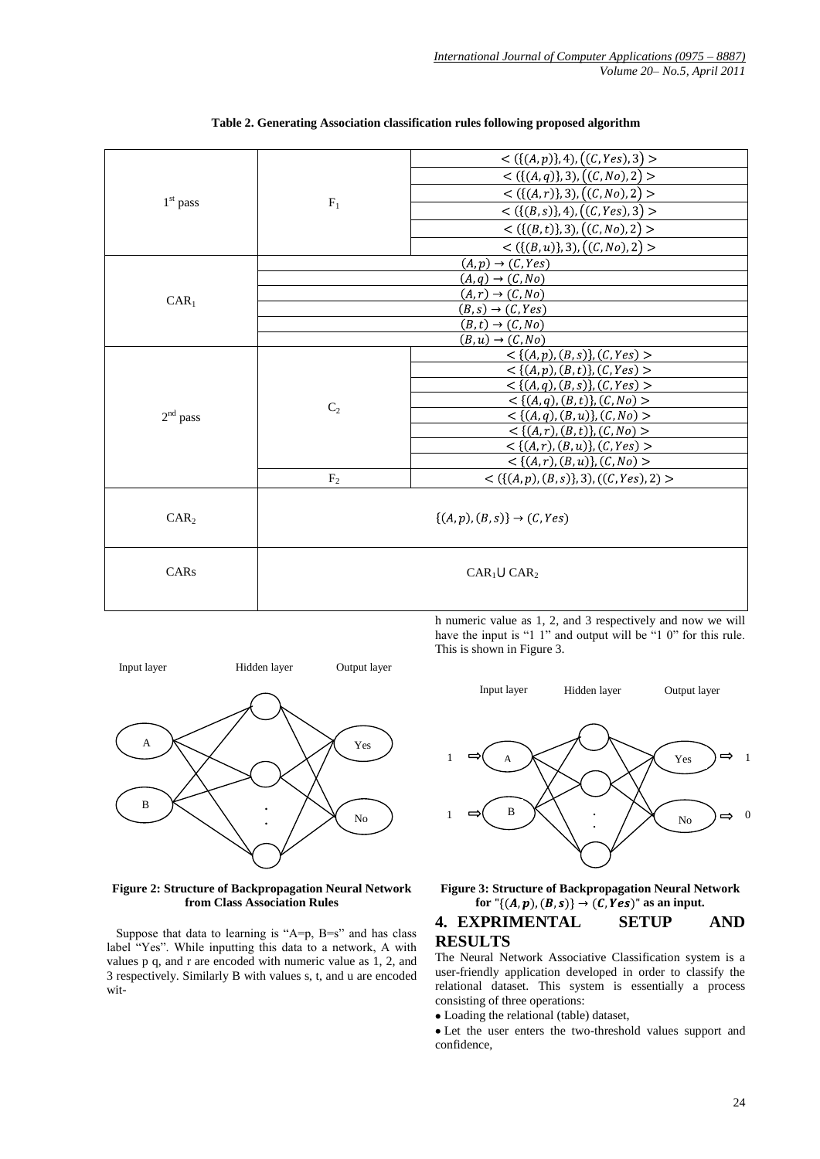|                  |                | $<$ ({(A, p)}, 4), ((C, Yes), 3) >               |  |  |  |  |
|------------------|----------------|--------------------------------------------------|--|--|--|--|
|                  |                | < $({(A,q)},3), ((C, No), 2)$ >                  |  |  |  |  |
|                  |                | $<$ ({(A, r)}, 3), ((C, No), 2) >                |  |  |  |  |
| $1st$ pass       | $F_1$          | $\lt$ ({(B, s)}, 4), ((C, Yes), 3) >             |  |  |  |  |
|                  |                | $<$ ({(B, t)}, 3), ((C, No), 2) >                |  |  |  |  |
|                  |                |                                                  |  |  |  |  |
|                  |                | $<$ ({(B, u)}, 3), ((C, No), 2) >                |  |  |  |  |
|                  |                | $(A, p) \rightarrow (C, Yes)$                    |  |  |  |  |
|                  |                | $(A,q) \rightarrow (C, No)$                      |  |  |  |  |
| $CAR_1$          |                | $(A,r) \rightarrow (C, No)$                      |  |  |  |  |
|                  |                | $(B, s) \rightarrow (C, Yes)$                    |  |  |  |  |
|                  |                | $(B, t) \rightarrow (C, No)$                     |  |  |  |  |
|                  |                | $(B, u) \rightarrow (C, No)$                     |  |  |  |  |
|                  |                | $\langle (A,p),(B,s)\}, (C,Yes)$                 |  |  |  |  |
|                  |                | $\lt$ {(A, p), (B, t)}, (C, Yes) >               |  |  |  |  |
|                  |                | $\langle (A,q), (B,s), (C,Yes) \rangle$          |  |  |  |  |
|                  |                | $< \{(A,q),(B,t)\}, (C,No) >$                    |  |  |  |  |
| $2nd$ pass       | C <sub>2</sub> | $< \{(A, q), (B, u)\}, (C, No) >$                |  |  |  |  |
|                  |                | $\langle (A,r), (B,t) \rangle, (C, No) >$        |  |  |  |  |
|                  |                | $\overline{\langle (A,r),(B,u)\rangle,(C,Yes)}$  |  |  |  |  |
|                  |                |                                                  |  |  |  |  |
|                  |                | $\langle (A,r), (B,u) \rangle, (C, No) >$        |  |  |  |  |
|                  | $\rm F_2$      | $\lt$ ({ $(A, p), (B, s)$ }, 3), ((C, Yes), 2) > |  |  |  |  |
|                  |                |                                                  |  |  |  |  |
| CAR <sub>2</sub> |                | $\{(A,p),(B,s)\}\rightarrow (C,Yes)$             |  |  |  |  |
|                  |                |                                                  |  |  |  |  |
|                  |                |                                                  |  |  |  |  |
|                  |                |                                                  |  |  |  |  |
| CARs             |                | $CAR_1 \cup CAR_2$                               |  |  |  |  |
|                  |                |                                                  |  |  |  |  |
|                  |                |                                                  |  |  |  |  |
|                  |                |                                                  |  |  |  |  |

|  | Table 2. Generating Association classification rules following proposed algorithm |  |  |
|--|-----------------------------------------------------------------------------------|--|--|
|  |                                                                                   |  |  |



**Figure 2: Structure of Backpropagation Neural Network from Class Association Rules**

Suppose that data to learning is " $A=p$ ,  $B=s$ " and has class label "Yes". While inputting this data to a network, A with values p q, and r are encoded with numeric value as 1, 2, and 3 respectively. Similarly B with values s, t, and u are encoded with numeric value as 1, 2, and 3 respectively and now we will have the input is "1 1" and output will be "1 0" for this rule. This is shown in Figure 3.



**Figure 3: Structure of Backpropagation Neural Network**  for  $\sqrt[n]{(A, p), (B, s)} \rightarrow (C, Yes)^n$  as an input.

### **4. EXPRIMENTAL SETUP AND RESULTS**

The Neural Network Associative Classification system is a user-friendly application developed in order to classify the relational dataset. This system is essentially a process consisting of three operations:

Loading the relational (table) dataset,

Let the user enters the two-threshold values support and confidence,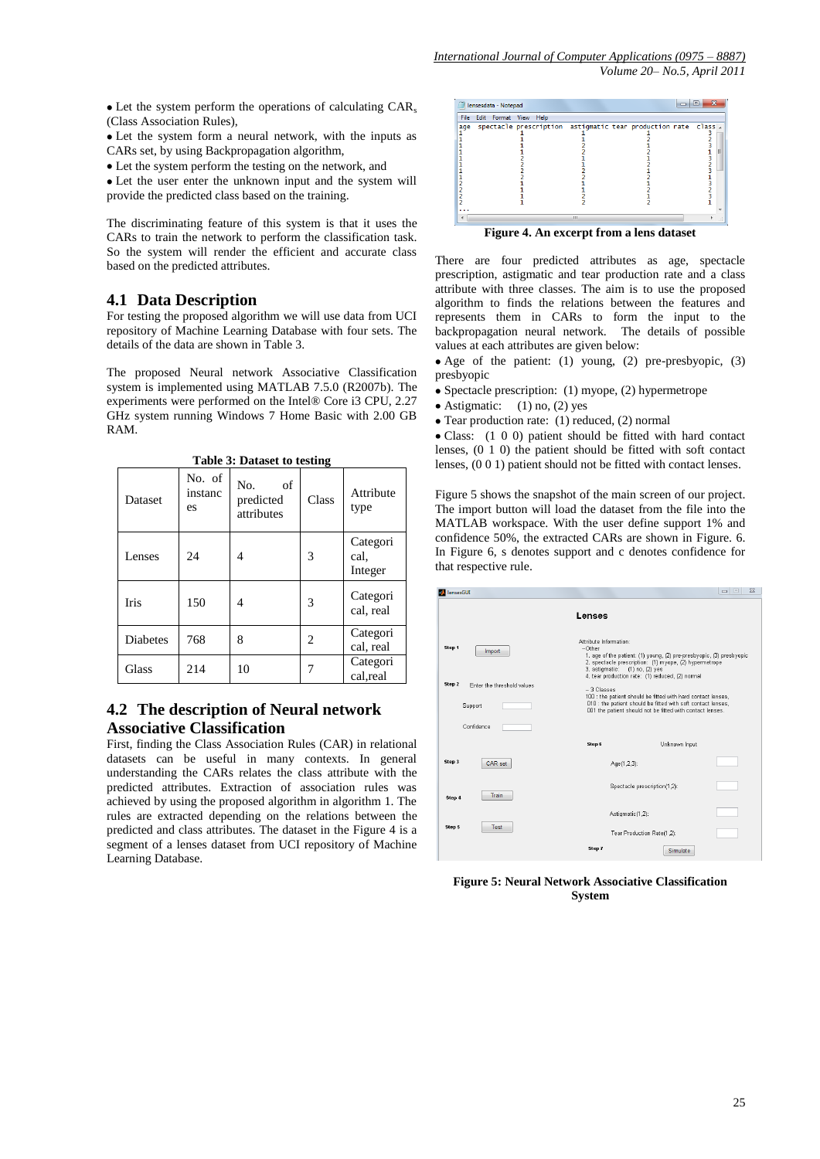$\bullet$  Let the system perform the operations of calculating CAR<sub>s</sub> (Class Association Rules),

Let the system form a neural network, with the inputs as CARs set, by using Backpropagation algorithm,

Let the system perform the testing on the network, and

• Let the user enter the unknown input and the system will provide the predicted class based on the training.

The discriminating feature of this system is that it uses the CARs to train the network to perform the classification task. So the system will render the efficient and accurate class based on the predicted attributes.

# **4.1 Data Description**

For testing the proposed algorithm we will use data from UCI repository of Machine Learning Database with four sets. The details of the data are shown in Table 3.

The proposed Neural network Associative Classification system is implemented using MATLAB 7.5.0 (R2007b). The experiments were performed on the Intel® Core i3 CPU, 2.27 GHz system running Windows 7 Home Basic with 2.00 GB RAM.

| Dataset         | No. of<br>instanc<br>es | No.<br>of<br>predicted<br>attributes | Class          | Attribute<br>type           |
|-----------------|-------------------------|--------------------------------------|----------------|-----------------------------|
| Lenses          | 24                      | 4                                    | 3              | Categori<br>cal.<br>Integer |
| <b>Iris</b>     | 150                     | 4                                    | 3              | Categori<br>cal, real       |
| <b>Diabetes</b> | 768                     | 8                                    | $\overline{c}$ | Categori<br>cal, real       |
| Glass           | 214                     | 10                                   |                | Categori<br>cal, real       |

#### **Table 3: Dataset to testing**

# **4.2 The description of Neural network Associative Classification**

First, finding the Class Association Rules (CAR) in relational datasets can be useful in many contexts. In general understanding the CARs relates the class attribute with the predicted attributes. Extraction of association rules was achieved by using the proposed algorithm in algorithm 1. The rules are extracted depending on the relations between the predicted and class attributes. The dataset in the Figure 4 is a segment of a lenses dataset from UCI repository of Machine Learning Database.



**Figure 4. An excerpt from a lens dataset**

There are four predicted attributes as age, spectacle prescription, astigmatic and tear production rate and a class attribute with three classes. The aim is to use the proposed algorithm to finds the relations between the features and represents them in CARs to form the input to the backpropagation neural network. The details of possible values at each attributes are given below:

• Age of the patient: (1) young, (2) pre-presbyopic, (3) presbyopic

- Spectacle prescription:  $(1)$  myope,  $(2)$  hypermetrope
- Astigmatic:  $(1)$  no,  $(2)$  yes
- Tear production rate: (1) reduced, (2) normal

Class: (1 0 0) patient should be fitted with hard contact lenses, (0 1 0) the patient should be fitted with soft contact lenses, (0 0 1) patient should not be fitted with contact lenses.

Figure 5 shows the snapshot of the main screen of our project. The import button will load the dataset from the file into the MATLAB workspace. With the user define support 1% and confidence 50%, the extracted CARs are shown in Figure. 6. In Figure 6, s denotes support and c denotes confidence for that respective rule.

| lensesGUI                                                                                                                                                                                            |                                                                    | $\Box$                                                                                                                                                                             | 53 |
|------------------------------------------------------------------------------------------------------------------------------------------------------------------------------------------------------|--------------------------------------------------------------------|------------------------------------------------------------------------------------------------------------------------------------------------------------------------------------|----|
|                                                                                                                                                                                                      | Lenses                                                             |                                                                                                                                                                                    |    |
| Step 1<br>Import                                                                                                                                                                                     | Attribute Information:<br>-Other<br>3. astigmatic: (1) no, (2) yes | 1. age of the patient: (1) young, (2) pre-presbyopic, (3) presbyopic<br>2. spectacle prescription: (1) myope, (2) hypermetrope<br>4. tear production rate: (1) reduced, (2) normal |    |
| Step 2<br>Enter the threshold values                                                                                                                                                                 | -- 3 Classes                                                       |                                                                                                                                                                                    |    |
| 100 : the patient should be fitted with hard contact lenses,<br>O10 : the patient should be fitted with soft contact lenses,<br>Support<br>001 the patient should not be fitted with contact lenses. |                                                                    |                                                                                                                                                                                    |    |
| Confidence                                                                                                                                                                                           |                                                                    |                                                                                                                                                                                    |    |
|                                                                                                                                                                                                      | Step 6                                                             | Unknown Input                                                                                                                                                                      |    |
| Step 3<br>CAR set                                                                                                                                                                                    | Age(1,2,3):                                                        |                                                                                                                                                                                    |    |
| <b>Train</b><br>Step 4                                                                                                                                                                               |                                                                    | Spectacle prescription(1,2):                                                                                                                                                       |    |
|                                                                                                                                                                                                      |                                                                    | Astigmatic(1.2):                                                                                                                                                                   |    |
| Step 5<br><b>Test</b>                                                                                                                                                                                |                                                                    | Tear Production Rate(1,2):                                                                                                                                                         |    |
|                                                                                                                                                                                                      | Step 7                                                             | Simulate                                                                                                                                                                           |    |

**Figure 5: Neural Network Associative Classification System**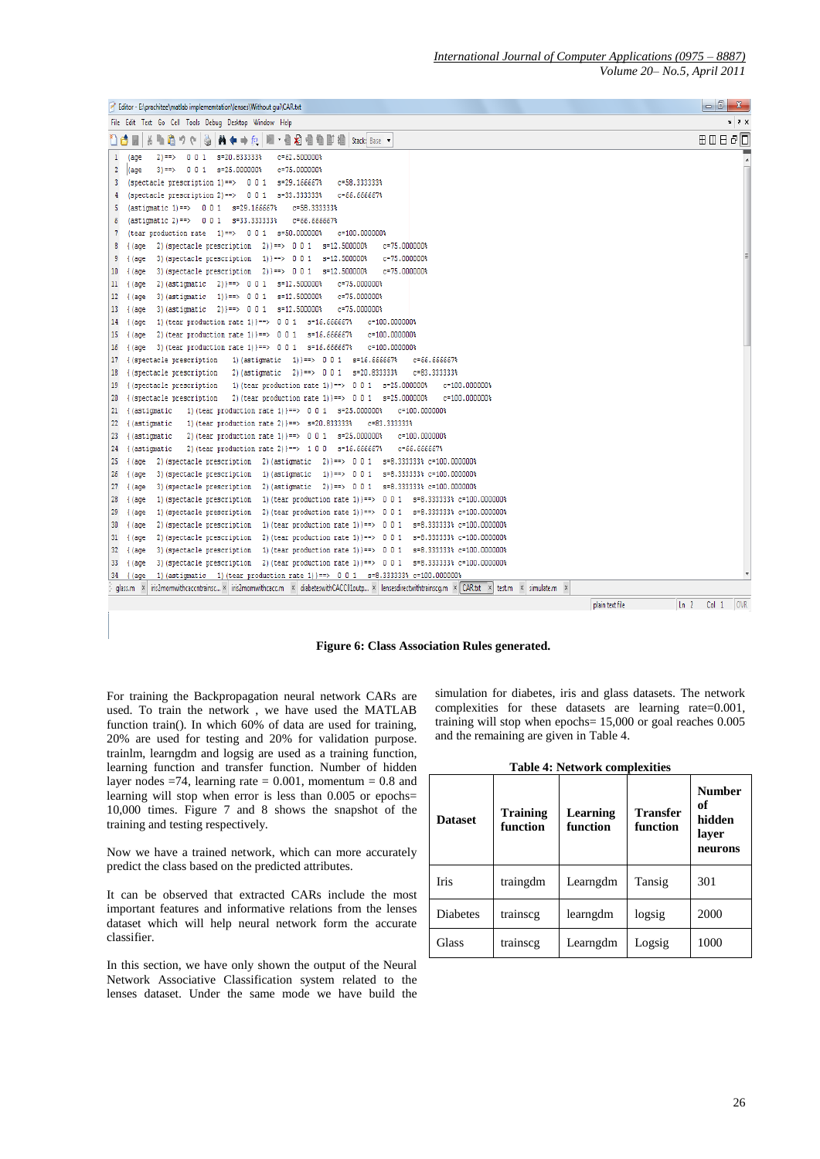| Editor - E:\prachitee\matlab implememtation\lenses\Without gui\CAR.txt                                                                                                 | $-0$ $x$              |
|------------------------------------------------------------------------------------------------------------------------------------------------------------------------|-----------------------|
| File Edit Text Go Cell Tools Debug Desktop Window Help                                                                                                                 | $x, y \in \mathbb{R}$ |
| A ←→ fo   图 · 目和 看到 图 图 编   Stack Base ·<br>۱۴<br>4 A<br>Q.                                                                                                            | 80880                 |
| $c = 62.500000$ \$<br>$\mathbf{1}$<br>s=20.833333%<br>$2) == >$<br>001<br>(age                                                                                         |                       |
| $\overline{2}$<br>s=25.000000%<br>$c = 75.000000$ \$<br>$3 ==$<br>001<br>(age                                                                                          |                       |
| s=29.166667%<br>c=58.333333%<br>(spectacle prescription $1$ ) ==> 001<br>3                                                                                             |                       |
| s=33.333333%<br>$c = 66.666667$<br>(spectacle prescription 2)==> $0 0 1$<br>4                                                                                          |                       |
| 5<br>$(astimatic 1) == > 0 0 1$<br>s=29.166667%<br>$c = 58.333333$                                                                                                     |                       |
| 6<br>s=33.333333%<br>$c = 66.66667$ \$<br>(astigmatic 2)==> $0 0 1$                                                                                                    |                       |
| 7<br>(tear production rate $1$ )==> 0 0 1 s=50.000000%<br>c=100.000000%                                                                                                |                       |
| $2)$ }==> 0 0 1<br>s=12.500000%<br>c=75.000000%<br>8<br>2) (spectacle prescription<br>{ (age                                                                           |                       |
| s=12.500000%<br>c=75.000000%<br>9<br>3) (spectacle prescription<br>$1$ } ==> 001<br>{ (age                                                                             |                       |
| 2) } == > 0 0 1 s=12.500000%<br>10<br>3) (spectacle prescription<br>$c = 75.000000$ \$<br>(age                                                                         |                       |
| c=75.000000%<br>11<br>2) (astigmatic<br>$21$ }==> 001<br>s=12,500000%<br>$\{$ (age)                                                                                    |                       |
| s=12.500000%<br>c=75.000000%<br>12<br>3) (astigmatic<br>$1)$ }==><br>$\{$ (age<br>001                                                                                  |                       |
| 3) (astigmatic<br>$21$ }==> 001<br>s=12,500000%<br>c=75.000000%<br>13<br>$\int$ (age)                                                                                  |                       |
| c=100.000000%<br>1) (tear production rate 1) } = = > 0 0 1 s=16.666667%<br>14<br>{ (age                                                                                |                       |
| s=16.666667%<br>2) (tear production rate $1$ ) ==> 0 0 1<br>c=100.000000%<br>15<br>{ (age                                                                              |                       |
| c=100.000000%<br>3) (tear production rate 1) $=$ $>$ 0 0 1<br>s=16.666667%<br>16<br>lage                                                                               |                       |
| 1) } == > 0 0 1 s=16.666667%<br>$c = 66.666667$<br>17<br>{(spectacle prescription<br>1) (astigmatic                                                                    |                       |
| {(spectacle prescription)<br>$2)$ }==> 0 0 1<br>s=20.833333%<br>c=83.333333%<br>18<br>2) (astigmatic                                                                   |                       |
| {(spectacle prescription)<br>1) (tear production rate 1) $\rangle == > 0 0 1$<br>s=25,000000%<br>c=100.000000%<br>19                                                   |                       |
| { (spectacle prescription<br>2) (tear production rate 1) }==> 0 0 1 s=25.000000%<br>c=100,000000%<br>20                                                                |                       |
| c=100.000000%<br>21<br>{ (astigmatic<br>1) (tear production rate 1) }==> 0 0 1 s=25.000000%                                                                            |                       |
| c=83,333333%<br>22<br>{ (astigmatic<br>1) (tear production rate 2) } = = > s=20.8333333<br>s=25.000000%<br>c=100.000000%                                               |                       |
| 23<br>{ (astigmatic<br>2) (tear production rate 1) $=$ $>$ 0 0 1<br>{ (astigmatic<br>2) (tear production rate 2) $\rangle == > 100$<br>s=16.666667%<br>$c = 66.666667$ |                       |
| 24<br>2) }==> 0 0 1 s=8.333333% c=100.000000%<br>2) (spectacle prescription<br>2) (astigmatic<br>25<br>{ (age                                                          |                       |
| s=8.333333% c=100.000000%<br>26<br>3) (spectacle prescription<br>1) (astigmatic<br>$1)$ }==> 0 0 1<br>$\{$ (age)                                                       |                       |
| 27<br>2) (astigmatic<br>$2)$ }==> 001<br>s=8.333333% c=100.000000%<br>{ (age<br>3) (spectacle prescription                                                             |                       |
| 1) (tear production rate 1) } = = > 0 0 1 s = 8.3333333 c = 100.000000 \$<br>28<br>{ (age<br>1) (spectacle prescription                                                |                       |
| 2) (tear production rate 1) $3 == 0$ 0 1<br>s=8.333333% c=100.000000%<br>29<br>{ (age<br>1) (spectacle prescription                                                    |                       |
| s=8.333333% c=100.000000%<br>2) (spectacle prescription<br>1) (tear production rate 1) $=$ 5 0 0 1<br>30<br>$($ (age)                                                  |                       |
| s=8.333333% c=100.000000%<br>2) (spectacle prescription<br>2) (tear production rate 1) $3 == 0$ 0 1<br>31<br>$($ (age                                                  |                       |
| 32<br>3) (spectacle prescription<br>1) (tear production rate 1) }==> 0 0 1 s=8.3333333 c=100.000000\$<br>(age                                                          |                       |
| 2) (tear production rate 1) } = = > 0 0 1 s = 8.3333333; c = 100.000000;<br>3) (spectacle prescription<br>33<br>$\int$ (age)                                           |                       |
| 1) (astigmatic 1) (tear production rate 1) == > 0 0 1 s=8.333333% c=100.000000%<br>34<br>f (age                                                                        |                       |
| $x$ ins2momwithcaccntrainsc $x$ ins2momwithcacc.m $x$ diabeteswithCACC01outp $x$ lensesdirectwithtrainscq.m $x$ CAR.b.t $x$ test.m<br>$\times$ simulate.m<br>glass.m   |                       |
| $\ln 2$<br>plain text file                                                                                                                                             | Col 1 OVR             |
|                                                                                                                                                                        |                       |

**Figure 6: Class Association Rules generated.**

For training the Backpropagation neural network CARs are used. To train the network , we have used the MATLAB function train(). In which 60% of data are used for training, 20% are used for testing and 20% for validation purpose. trainlm, learngdm and logsig are used as a training function, learning function and transfer function. Number of hidden layer nodes =74, learning rate =  $0.001$ , momentum = 0.8 and learning will stop when error is less than 0.005 or epochs= 10,000 times. Figure 7 and 8 shows the snapshot of the training and testing respectively.

Now we have a trained network, which can more accurately predict the class based on the predicted attributes.

It can be observed that extracted CARs include the most important features and informative relations from the lenses dataset which will help neural network form the accurate classifier.

In this section, we have only shown the output of the Neural Network Associative Classification system related to the lenses dataset. Under the same mode we have build the

simulation for diabetes, iris and glass datasets. The network complexities for these datasets are learning rate=0.001, training will stop when epochs= 15,000 or goal reaches 0.005 and the remaining are given in Table 4.

|  | <b>Table 4: Network complexities</b> |  |
|--|--------------------------------------|--|
|  |                                      |  |

| <b>Dataset</b>  | <b>Training</b><br>function | Learning<br>function | Transfer<br>function | <b>Number</b><br>оf<br>hidden<br>layer<br>neurons |
|-----------------|-----------------------------|----------------------|----------------------|---------------------------------------------------|
| <b>Iris</b>     | traingdm                    | Learngdm             | Tansig               | 301                                               |
| <b>Diabetes</b> | trainscg                    | learngdm             | logsig               | 2000                                              |
| Glass           | trainscg                    | Learngdm             | Logsig               | 1000                                              |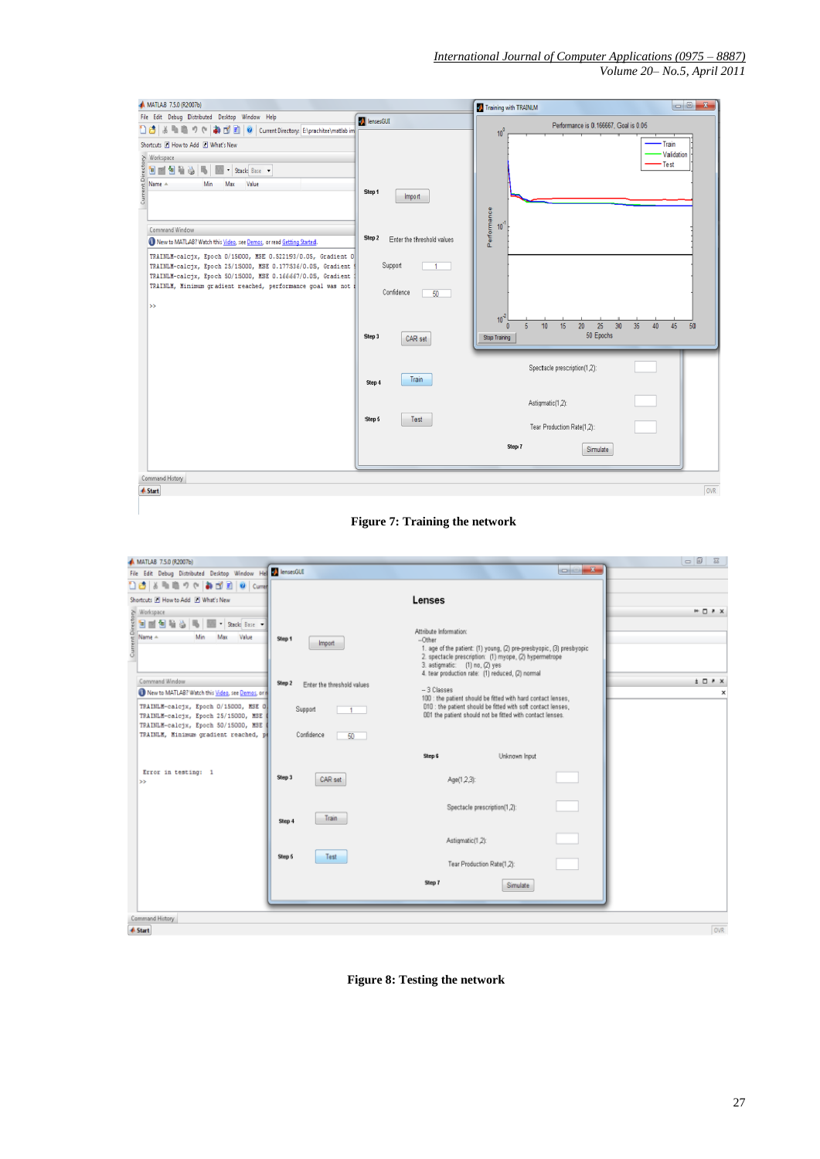| MATLAB 7.5.0 (R2007b)                                                                                                                                                                                                                                                                                                                                                                                                                                                                                                                       |                                                                                                               | Training with TRAINLM                                                                                                                                      | $\Box$<br>$\mathbf{z}$                                  |
|---------------------------------------------------------------------------------------------------------------------------------------------------------------------------------------------------------------------------------------------------------------------------------------------------------------------------------------------------------------------------------------------------------------------------------------------------------------------------------------------------------------------------------------------|---------------------------------------------------------------------------------------------------------------|------------------------------------------------------------------------------------------------------------------------------------------------------------|---------------------------------------------------------|
| File Edit Debug Distributed Desktop Window Help<br>Shortcuts El How to Add El What's New<br>> Workspace<br>日目包<br>* Stack: Base *<br>ğ<br>Name -<br>Min<br>Max<br>Value<br>Gurr<br>Command Window<br>New to MATLAB? Watch this Video, see Demos, or read Getting Started.<br>TRAINLM-calcjx, Epoch 0/15000, MSE 0.522193/0.05, Gradient 0<br>TRAINLM-calcjx, Epoch 25/15000, MSE 0.177536/0.05, Gradient<br>TRAINLM-calcjx, Epoch 50/15000, MSE 0.166667/0.05, Gradient<br>TRAINLM, Minimum gradient reached, performance goal was not<br>> | <b>J</b> lensesGUI<br>Step 1<br>Import<br>Step 2<br>Enter the threshold values<br>Support<br>Confidence<br>50 | Performance is 0.166667. Goal is 0.05<br>10 <sup>6</sup><br>Performance<br>$10^{\degree}$<br>10 <sup>2</sup><br>10<br>20<br>25<br>30<br>15<br>$\mathbf{0}$ | • Train<br>Validation<br>- Test<br>35<br>50<br>40<br>45 |
| Command History                                                                                                                                                                                                                                                                                                                                                                                                                                                                                                                             | Step 3<br>CAR set<br>Train<br>Step 4<br>Step 5<br>Test                                                        | 50 Epochs<br>Stop Training<br>Spectacle prescription(1,2):<br>Astigmatic(1,2):<br>Tear Production Rate(1,2):<br>Step 7<br>Simulate                         |                                                         |
| <b>A</b> Start                                                                                                                                                                                                                                                                                                                                                                                                                                                                                                                              |                                                                                                               |                                                                                                                                                            | OVR                                                     |
|                                                                                                                                                                                                                                                                                                                                                                                                                                                                                                                                             |                                                                                                               |                                                                                                                                                            |                                                         |



| MATLAB 7.5.0 (R2007b)                                                       |                                      |                                                                                                                           | $\Box \Box$                         |
|-----------------------------------------------------------------------------|--------------------------------------|---------------------------------------------------------------------------------------------------------------------------|-------------------------------------|
| File Edit Debug Distributed Desktop Window He 2 lensesGUI                   |                                      |                                                                                                                           |                                     |
| 13 13 h 自った おざ目 @   Curren                                                  |                                      |                                                                                                                           |                                     |
| Shortcuts IN How to Add IN What's New                                       |                                      | Lenses                                                                                                                    |                                     |
| > Workspace                                                                 |                                      |                                                                                                                           | $H \Box B X$                        |
| 国国国<br>Mill * Stack: Base *                                                 |                                      |                                                                                                                           |                                     |
| Name -<br>Max<br>Min<br>Value                                               |                                      | Attribute Information:                                                                                                    |                                     |
|                                                                             | Step 1<br><b>Import</b>              | --Other<br>1. age of the patient: (1) young, (2) pre-presbyopic, (3) presbyopic                                           |                                     |
|                                                                             |                                      | 2. spectacle prescription: (1) myope, (2) hypermetrope                                                                    |                                     |
|                                                                             |                                      | 3. astigmatic: (1) no, (2) yes                                                                                            |                                     |
| Command Window                                                              |                                      | 4. tear production rate: (1) reduced, (2) normal                                                                          | $\pm$ $\Box$ $\rightarrow$ $\times$ |
| New to MATLAB? Watch this Video, see Demos, or n                            | Step 2<br>Enter the threshold values | -3 Classes                                                                                                                |                                     |
|                                                                             |                                      | 100 : the patient should be fitted with hard contact lenses,                                                              |                                     |
| TRAINLM-calcjx, Epoch 0/15000, MSE 0<br>TRAINLM-calcjx, Epoch 25/15000, MSE | Support                              | O10 : the patient should be fitted with soft contact lenses,<br>001 the patient should not be fitted with contact lenses. |                                     |
| TRAINLM-calcjx, Epoch 50/15000, MSE (                                       |                                      |                                                                                                                           |                                     |
| TRAINLE, Minimum gradient reached, p                                        | Confidence<br>50                     |                                                                                                                           |                                     |
|                                                                             |                                      |                                                                                                                           |                                     |
|                                                                             |                                      | Step 6<br>Unknown Input                                                                                                   |                                     |
| Error in testing: 1                                                         |                                      |                                                                                                                           |                                     |
| $>\,$                                                                       | Step 3<br>CAR set                    | Age(1,2,3):                                                                                                               |                                     |
|                                                                             |                                      |                                                                                                                           |                                     |
|                                                                             |                                      | Spectacle prescription(1,2):                                                                                              |                                     |
|                                                                             | Train<br>Step 4                      |                                                                                                                           |                                     |
|                                                                             |                                      |                                                                                                                           |                                     |
|                                                                             |                                      | Astigmatic(1.2):                                                                                                          |                                     |
|                                                                             |                                      |                                                                                                                           |                                     |
|                                                                             | Test<br>Step 5                       | Tear Production Rate(1,2):                                                                                                |                                     |
|                                                                             |                                      |                                                                                                                           |                                     |
|                                                                             |                                      | Step 7<br>Simulate                                                                                                        |                                     |
|                                                                             |                                      |                                                                                                                           |                                     |
|                                                                             |                                      |                                                                                                                           |                                     |
| Command History                                                             |                                      |                                                                                                                           |                                     |
| <b>A</b> Start                                                              |                                      |                                                                                                                           | <b>OVR</b>                          |